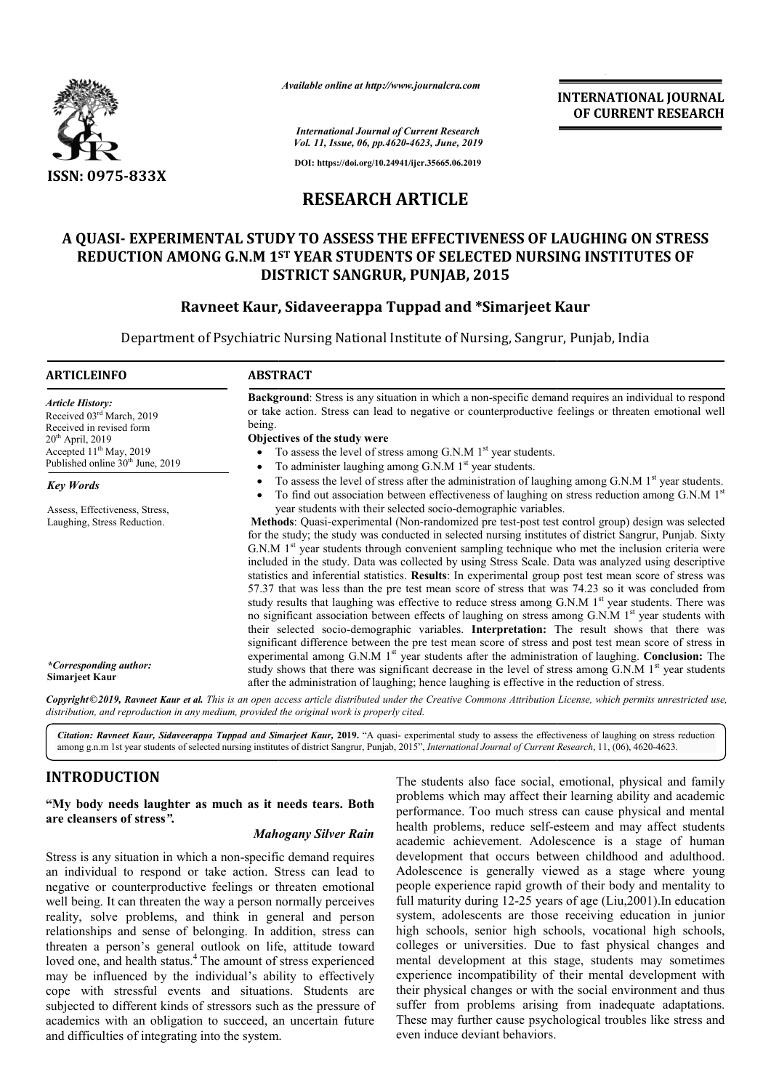

*Available online at http://www.journalcra.com*

**INTERNATIONAL JOURNAL OF CURRENT RESEARCH**

*International Journal of Current Research Vol. 11, Issue, 06, pp.4620-4623, June, 2019*

**DOI: https://doi.org/10.24941/ijcr.35665.06.2019**

# **RESEARCH ARTICLE**

# **A QUASI- EXPERIMENTAL STUDY TO ASSESS THE EFFECTIVENESS OF LAUGHING ON STRESS** REDUCTION AMONG G.N.M 1<sup>st</sup> YEAR STUDENTS OF SELECTED NURSING INSTITUTES OF<br>DISTRICT SANGRUR, PUNJAB, 2015<br>Ravneet Kaur, Sidaveerappa Tuppad and \*Simarjeet Kaur **DISTRICT SANGRUR, PUNJAB, 2015**

# **Ravneet Kaur, Sidaveerappa Tuppad and \*Simarjeet Kaur**

Department of Psychiatric Nursing National Institute of Nursing, Sangrur, Punjab, India

| ARTICLEINFO                                                                                                                                                                  | <b>ABSTRACT</b>                                                                                                                                                                                                                                                                                                                                                                                                                                                                                                                                                                                                                                                                                                                                                                                                                                                                                                                                                                                                                                                                                                                                                 |  |  |
|------------------------------------------------------------------------------------------------------------------------------------------------------------------------------|-----------------------------------------------------------------------------------------------------------------------------------------------------------------------------------------------------------------------------------------------------------------------------------------------------------------------------------------------------------------------------------------------------------------------------------------------------------------------------------------------------------------------------------------------------------------------------------------------------------------------------------------------------------------------------------------------------------------------------------------------------------------------------------------------------------------------------------------------------------------------------------------------------------------------------------------------------------------------------------------------------------------------------------------------------------------------------------------------------------------------------------------------------------------|--|--|
| Article History:<br>Received 03rd March, 2019<br>Received in revised form<br>$20th$ April, 2019<br>Accepted $11th$ May, 2019<br>Published online 30 <sup>th</sup> June, 2019 | Background: Stress is any situation in which a non-specific demand requires an individual to respond<br>or take action. Stress can lead to negative or counterproductive feelings or threaten emotional well<br>being.<br>Objectives of the study were<br>To assess the level of stress among $G.N.M$ $1st$ year students.<br>To administer laughing among G.N.M 1 <sup>st</sup> year students.<br>$\bullet$                                                                                                                                                                                                                                                                                                                                                                                                                                                                                                                                                                                                                                                                                                                                                    |  |  |
| Key Words                                                                                                                                                                    | To assess the level of stress after the administration of laughing among $G.N.M$ 1 <sup>st</sup> year students.<br>To find out association between effectiveness of laughing on stress reduction among $G.N.M$ 1 <sup>st</sup>                                                                                                                                                                                                                                                                                                                                                                                                                                                                                                                                                                                                                                                                                                                                                                                                                                                                                                                                  |  |  |
| Assess, Effectiveness, Stress,<br>Laughing, Stress Reduction.                                                                                                                | year students with their selected socio-demographic variables.<br>Methods: Quasi-experimental (Non-randomized pre test-post test control group) design was selected<br>for the study; the study was conducted in selected nursing institutes of district Sangrur, Punjab. Sixty<br>G.N.M 1 <sup>st</sup> year students through convenient sampling technique who met the inclusion criteria were<br>included in the study. Data was collected by using Stress Scale. Data was analyzed using descriptive<br>statistics and inferential statistics. Results: In experimental group post test mean score of stress was<br>57.37 that was less than the pre test mean score of stress that was 74.23 so it was concluded from<br>study results that laughing was effective to reduce stress among G.N.M 1 <sup>st</sup> year students. There was<br>no significant association between effects of laughing on stress among G.N.M $1st$ year students with<br>their selected socio-demographic variables. Interpretation: The result shows that there was<br>significant difference between the pre test mean score of stress and post test mean score of stress in |  |  |
| *Corresponding author:<br><b>Simarjeet Kaur</b>                                                                                                                              | experimental among G.N.M $1st$ year students after the administration of laughing. Conclusion: The<br>study shows that there was significant decrease in the level of stress among $G.N.M$ 1 <sup>st</sup> year students<br>after the administration of laughing; hence laughing is effective in the reduction of stress.                                                                                                                                                                                                                                                                                                                                                                                                                                                                                                                                                                                                                                                                                                                                                                                                                                       |  |  |

Copyright©2019, Ravneet Kaur et al. This is an open access article distributed under the Creative Commons Attribution License, which permits unrestricted use, *distribution, and reproduction in any medium, provided the original work is properly cited.*

Citation: Ravneet Kaur, Sidaveerappa Tuppad and Simarjeet Kaur, 2019. "A quasi- experimental study to assess the effectiveness of laughing on stress reduction Citation: Ravneet Kaur, Sidaveerappa Tuppad and Simarjeet Kaur, 2019. "A quasi- experimental study to assess the effectiveness of laughing on stress among g.n.m 1st year students of selected nursing institutes of district

# **INTRODUCTION**

**"My body needs laughter as much as it needs tears. Both are cleansers of stress***".*

#### *Mahogany Silver Rain*

Stress is any situation in which a non-specific demand requires an individual to respond or take action. Stress can lead to negative or counterproductive feelings or threaten emotional well being. It can threaten the way a person normally perceives reality, solve problems, and think in general and person relationships and sense of belonging. In addition, stress can threaten a person's general outlook on life, attitude toward loved one, and health status.<sup>4</sup> The amount of stress experienced may be influenced by the individual's ability to effectively cope with stressful events and situations. Students are subjected to different kinds of stressors such as the pressure of academics with an obligation to succeed, an uncertain future and difficulties of integrating into the system.

The students also face social, emotional, physical and family<br>
problems, which may affect their learning ability and academic<br>
of **stress<sup>7</sup>.**<br> **Mahogany Silver Rain**<br> **Mahogany Silver Rain**<br> **Mahogany Silver Rain**<br> **Mahog** problems which may affect their learning ability and academic performance. Too much stress can cause physical and mental health problems, reduce self-esteem and may affect students academic achievement. Adolescence is a stage of human development that occurs between childhood and adulthood. Adolescence is generally viewed as a stage where young people experience rapid growth of their body and mentality to full maturity during 12-25 years of age (Liu,2001).In education system, adolescents are those receiving education in junior high schools, senior high schools, vocational high schools, colleges or universities. Due to fast physical changes and mental development at this stage, students may sometimes experience incompatibility of their mental development with their physical changes or with the social environment and thus suffer from problems arising from inadequate adaptations. These may further cause psychological troubles like stress and even induce deviant behaviors. The students also face social, emotional, physical and family problems which may affect their learning ability and academic performance. Too much stress can cause physical and mental health problems, reduce self-esteem and ince achievement. Adolescence is a stage of human pment that occurs between childhood and adulthood.<br>
scence is generally viewed as a stage where young experience rapid growth of their body and mentality to turity during 1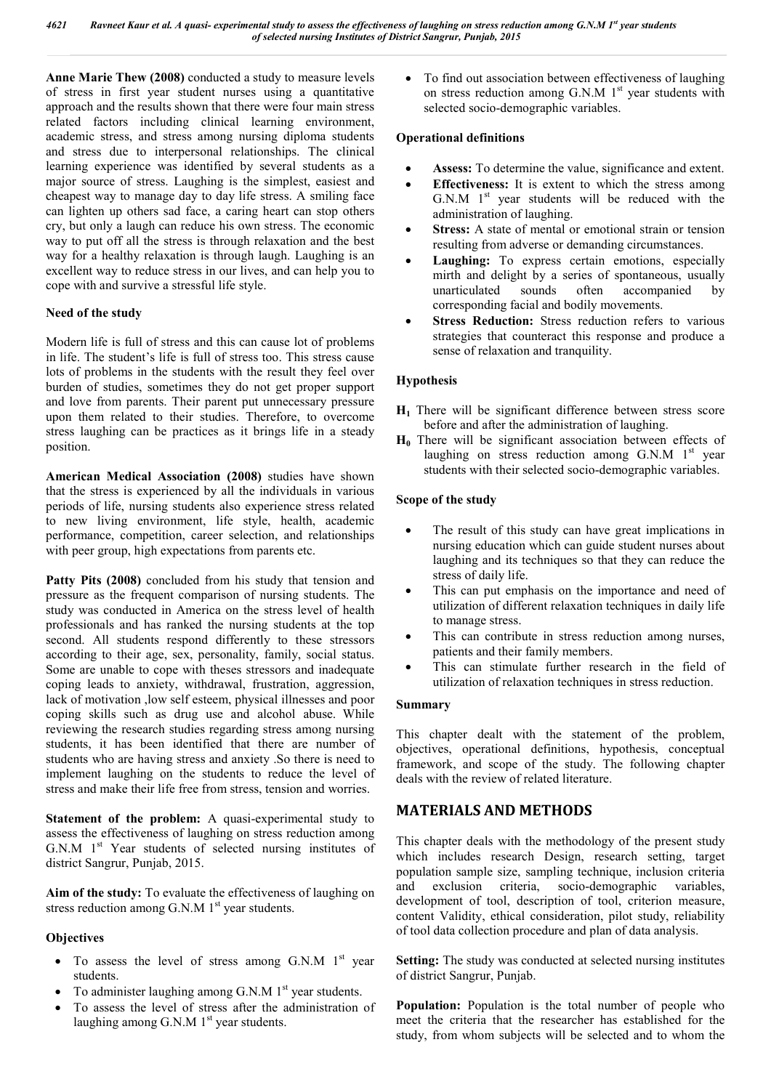**Anne Marie Thew (2008)** conducted a study to measure levels of stress in first year student nurses using a quantitative approach and the results shown that there were four main stress related factors including clinical learning environment, academic stress, and stress among nursing diploma students and stress due to interpersonal relationships. The clinical learning experience was identified by several students as a major source of stress. Laughing is the simplest, easiest and cheapest way to manage day to day life stress. A smiling face can lighten up others sad face, a caring heart can stop others cry, but only a laugh can reduce his own stress. The economic way to put off all the stress is through relaxation and the best way for a healthy relaxation is through laugh. Laughing is an excellent way to reduce stress in our lives, and can help you to cope with and survive a stressful life style.

#### **Need of the study**

Modern life is full of stress and this can cause lot of problems in life. The student's life is full of stress too. This stress cause lots of problems in the students with the result they feel over burden of studies, sometimes they do not get proper support and love from parents. Their parent put unnecessary pressure upon them related to their studies. Therefore, to overcome stress laughing can be practices as it brings life in a steady position.

**American Medical Association (2008)** studies have shown that the stress is experienced by all the individuals in various periods of life, nursing students also experience stress related to new living environment, life style, health, academic performance, competition, career selection, and relationships with peer group, high expectations from parents etc.

Patty Pits (2008) concluded from his study that tension and pressure as the frequent comparison of nursing students. The study was conducted in America on the stress level of health professionals and has ranked the nursing students at the top second. All students respond differently to these stressors according to their age, sex, personality, family, social status. Some are unable to cope with theses stressors and inadequate coping leads to anxiety, withdrawal, frustration, aggression, lack of motivation ,low self esteem, physical illnesses and poor coping skills such as drug use and alcohol abuse. While reviewing the research studies regarding stress among nursing students, it has been identified that there are number of students who are having stress and anxiety .So there is need to implement laughing on the students to reduce the level of stress and make their life free from stress, tension and worries.

**Statement of the problem:** A quasi-experimental study to assess the effectiveness of laughing on stress reduction among G.N.M  $1<sup>st</sup>$  Year students of selected nursing institutes of district Sangrur, Punjab, 2015.

**Aim of the study:** To evaluate the effectiveness of laughing on stress reduction among  $G.N.M$  1<sup>st</sup> year students.

## **Objectives**

- $\bullet$  To assess the level of stress among G.N.M  $1<sup>st</sup>$  year students.
- To administer laughing among  $G.N.M$  1<sup>st</sup> year students.
- To assess the level of stress after the administration of laughing among G.N.M 1<sup>st</sup> year students.

 To find out association between effectiveness of laughing on stress reduction among  $G.N.M$  1<sup>st</sup> year students with selected socio-demographic variables.

#### **Operational definitions**

- **Assess:** To determine the value, significance and extent.
- **Effectiveness:** It is extent to which the stress among G.N.M  $1<sup>st</sup>$  year students will be reduced with the administration of laughing.
- **Stress:** A state of mental or emotional strain or tension resulting from adverse or demanding circumstances.
- **Laughing:** To express certain emotions, especially mirth and delight by a series of spontaneous, usually unarticulated sounds often accompanied by corresponding facial and bodily movements.
- **Stress Reduction:** Stress reduction refers to various strategies that counteract this response and produce a sense of relaxation and tranquility.

## **Hypothesis**

- **H1** There will be significant difference between stress score before and after the administration of laughing.
- **H0** There will be significant association between effects of laughing on stress reduction among  $G.N.M$  1<sup>st</sup> year students with their selected socio-demographic variables.

#### **Scope of the study**

- The result of this study can have great implications in nursing education which can guide student nurses about laughing and its techniques so that they can reduce the stress of daily life.
- This can put emphasis on the importance and need of utilization of different relaxation techniques in daily life to manage stress.
- This can contribute in stress reduction among nurses, patients and their family members.
- This can stimulate further research in the field of utilization of relaxation techniques in stress reduction.

#### **Summary**

This chapter dealt with the statement of the problem, objectives, operational definitions, hypothesis, conceptual framework, and scope of the study. The following chapter deals with the review of related literature.

## **MATERIALS AND METHODS**

This chapter deals with the methodology of the present study which includes research Design, research setting, target population sample size, sampling technique, inclusion criteria and exclusion criteria, socio-demographic variables, development of tool, description of tool, criterion measure, content Validity, ethical consideration, pilot study, reliability of tool data collection procedure and plan of data analysis.

**Setting:** The study was conducted at selected nursing institutes of district Sangrur, Punjab.

**Population:** Population is the total number of people who meet the criteria that the researcher has established for the study, from whom subjects will be selected and to whom the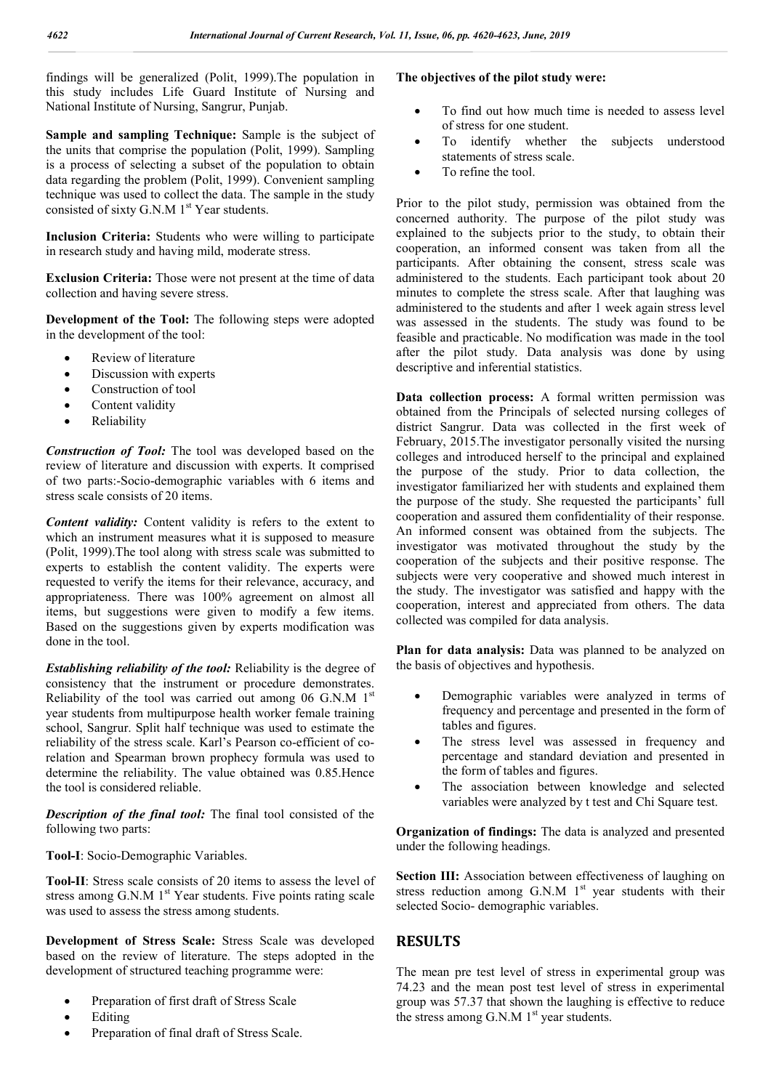findings will be generalized (Polit, 1999).The population in this study includes Life Guard Institute of Nursing and National Institute of Nursing, Sangrur, Punjab.

**Sample and sampling Technique:** Sample is the subject of the units that comprise the population (Polit, 1999). Sampling is a process of selecting a subset of the population to obtain data regarding the problem (Polit, 1999). Convenient sampling technique was used to collect the data. The sample in the study consisted of sixty  $G.N.M$  1<sup>st</sup> Year students.

**Inclusion Criteria:** Students who were willing to participate in research study and having mild, moderate stress.

**Exclusion Criteria:** Those were not present at the time of data collection and having severe stress.

**Development of the Tool:** The following steps were adopted in the development of the tool:

- Review of literature
- Discussion with experts
- Construction of tool
- Content validity
- Reliability

*Construction of Tool:* The tool was developed based on the review of literature and discussion with experts. It comprised of two parts:-Socio-demographic variables with 6 items and stress scale consists of 20 items.

*Content validity:* Content validity is refers to the extent to which an instrument measures what it is supposed to measure (Polit, 1999).The tool along with stress scale was submitted to experts to establish the content validity. The experts were requested to verify the items for their relevance, accuracy, and appropriateness. There was 100% agreement on almost all items, but suggestions were given to modify a few items. Based on the suggestions given by experts modification was done in the tool.

*Establishing reliability of the tool:* Reliability is the degree of consistency that the instrument or procedure demonstrates. Reliability of the tool was carried out among 06 G.N.M  $1<sup>st</sup>$ year students from multipurpose health worker female training school, Sangrur. Split half technique was used to estimate the reliability of the stress scale. Karl's Pearson co-efficient of corelation and Spearman brown prophecy formula was used to determine the reliability. The value obtained was 0.85.Hence the tool is considered reliable.

*Description of the final tool:* The final tool consisted of the following two parts:

**Tool-I**: Socio-Demographic Variables.

**Tool-II**: Stress scale consists of 20 items to assess the level of stress among  $G.N.M$  1<sup>st</sup> Year students. Five points rating scale was used to assess the stress among students.

**Development of Stress Scale:** Stress Scale was developed based on the review of literature. The steps adopted in the development of structured teaching programme were:

- Preparation of first draft of Stress Scale
- Editing
- Preparation of final draft of Stress Scale.

## **The objectives of the pilot study were:**

- To find out how much time is needed to assess level of stress for one student.
- To identify whether the subjects understood statements of stress scale.
- To refine the tool.

Prior to the pilot study, permission was obtained from the concerned authority. The purpose of the pilot study was explained to the subjects prior to the study, to obtain their cooperation, an informed consent was taken from all the participants. After obtaining the consent, stress scale was administered to the students. Each participant took about 20 minutes to complete the stress scale. After that laughing was administered to the students and after 1 week again stress level was assessed in the students. The study was found to be feasible and practicable. No modification was made in the tool after the pilot study. Data analysis was done by using descriptive and inferential statistics.

**Data collection process:** A formal written permission was obtained from the Principals of selected nursing colleges of district Sangrur. Data was collected in the first week of February, 2015.The investigator personally visited the nursing colleges and introduced herself to the principal and explained the purpose of the study. Prior to data collection, the investigator familiarized her with students and explained them the purpose of the study. She requested the participants' full cooperation and assured them confidentiality of their response. An informed consent was obtained from the subjects. The investigator was motivated throughout the study by the cooperation of the subjects and their positive response. The subjects were very cooperative and showed much interest in the study. The investigator was satisfied and happy with the cooperation, interest and appreciated from others. The data collected was compiled for data analysis.

**Plan for data analysis:** Data was planned to be analyzed on the basis of objectives and hypothesis.

- Demographic variables were analyzed in terms of frequency and percentage and presented in the form of tables and figures.
- The stress level was assessed in frequency and percentage and standard deviation and presented in the form of tables and figures.
- The association between knowledge and selected variables were analyzed by t test and Chi Square test.

**Organization of findings:** The data is analyzed and presented under the following headings.

**Section III:** Association between effectiveness of laughing on stress reduction among  $G.N.M$  1st year students with their selected Socio- demographic variables.

# **RESULTS**

The mean pre test level of stress in experimental group was 74.23 and the mean post test level of stress in experimental group was 57.37 that shown the laughing is effective to reduce the stress among  $G.N.M$  1<sup>st</sup> year students.